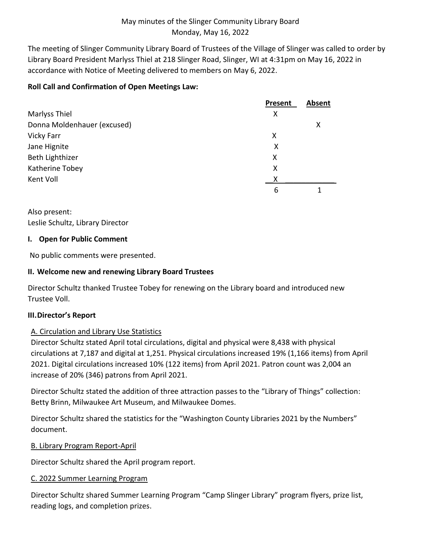The meeting of Slinger Community Library Board of Trustees of the Village of Slinger was called to order by Library Board President Marlyss Thiel at 218 Slinger Road, Slinger, WI at 4:31pm on May 16, 2022 in accordance with Notice of Meeting delivered to members on May 6, 2022.

# **Roll Call and Confirmation of Open Meetings Law:**

|                             | Present | <b>Absent</b> |
|-----------------------------|---------|---------------|
| Marlyss Thiel               | х       |               |
| Donna Moldenhauer (excused) |         | X             |
| Vicky Farr                  | х       |               |
| Jane Hignite                | Χ       |               |
| Beth Lighthizer             | X       |               |
| Katherine Tobey             | X       |               |
| Kent Voll                   | x       |               |
|                             | 6       |               |

Also present: Leslie Schultz, Library Director

# **I. Open for Public Comment**

No public comments were presented.

# **II. Welcome new and renewing Library Board Trustees**

Director Schultz thanked Trustee Tobey for renewing on the Library board and introduced new Trustee Voll.

# **III.Director's Report**

# A. Circulation and Library Use Statistics

Director Schultz stated April total circulations, digital and physical were 8,438 with physical circulations at 7,187 and digital at 1,251. Physical circulations increased 19% (1,166 items) from April 2021. Digital circulations increased 10% (122 items) from April 2021. Patron count was 2,004 an increase of 20% (346) patrons from April 2021.

Director Schultz stated the addition of three attraction passes to the "Library of Things" collection: Betty Brinn, Milwaukee Art Museum, and Milwaukee Domes.

Director Schultz shared the statistics for the "Washington County Libraries 2021 by the Numbers" document.

# B. Library Program Report-April

Director Schultz shared the April program report.

# C. 2022 Summer Learning Program

Director Schultz shared Summer Learning Program "Camp Slinger Library" program flyers, prize list, reading logs, and completion prizes.